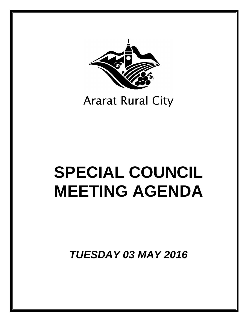

# **Ararat Rural City**

# **SPECIAL COUNCIL MEETING AGENDA**

*TUESDAY 03 MAY 2016*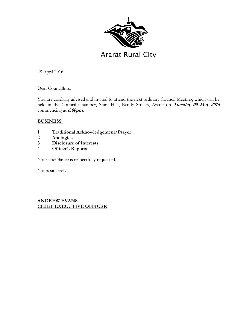

28 April 2016

Dear Councillors,

You are cordially advised and invited to attend the next ordinary Council Meeting, which will be held in the Council Chamber, Shire Hall, Barkly Streets, Ararat on **Tuesday 03 May 2016** commencing at **6.00pm.** 

# **BUSINESS:**

- **1 Traditional Acknowledgement/Prayer**
- **2 Apologies**
- **3 Disclosure of Interests**
- **4 Officer's Reports**

Your attendance is respectfully requested.

Yours sincerely,

# **ANDREW EVANS CHIEF EXECUTIVE OFFICER**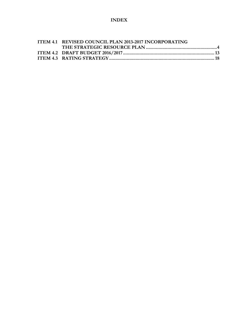# **INDEX**

| ITEM 4.1 REVISED COUNCIL PLAN 2013-2017 INCORPORATING |  |
|-------------------------------------------------------|--|
|                                                       |  |
|                                                       |  |
|                                                       |  |
|                                                       |  |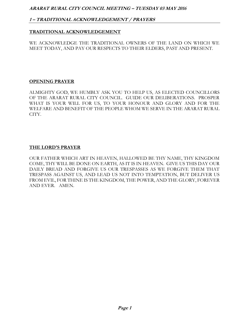# **1 – TRADITIONAL ACKNOWLEDGEMENT / PRAYERS**

### **TRADITIONAL ACKNOWLEDGEMENT**

WE ACKNOWLEDGE THE TRADITIONAL OWNERS OF THE LAND ON WHICH WE MEET TODAY, AND PAY OUR RESPECTS TO THEIR ELDERS, PAST AND PRESENT.

#### **OPENING PRAYER**

ALMIGHTY GOD, WE HUMBLY ASK YOU TO HELP US, AS ELECTED COUNCILLORS OF THE ARARAT RURAL CITY COUNCIL. GUIDE OUR DELIBERATIONS. PROSPER WHAT IS YOUR WILL FOR US, TO YOUR HONOUR AND GLORY AND FOR THE WELFARE AND BENEFIT OF THE PEOPLE WHOM WE SERVE IN THE ARARAT RURAL CITY.

#### **THE LORD'S PRAYER**

OUR FATHER WHICH ART IN HEAVEN, HALLOWED BE THY NAME, THY KINGDOM COME, THY WILL BE DONE ON EARTH, AS IT IS IN HEAVEN. GIVE US THIS DAY OUR DAILY BREAD AND FORGIVE US OUR TRESPASSES AS WE FORGIVE THEM THAT TRESPASS AGAINST US, AND LEAD US NOT INTO TEMPTATION, BUT DELIVER US FROM EVIL, FOR THINE IS THE KINGDOM, THE POWER, AND THE GLORY, FOREVER AND EVER. AMEN.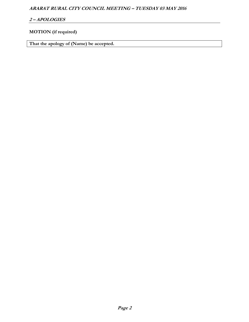# **2 – APOLOGIES**

# **MOTION (if required)**

**That the apology of (Name) be accepted.**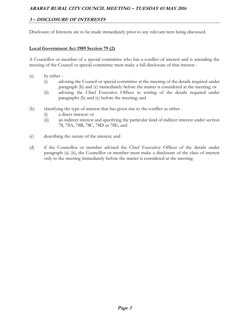# **3 – DISCLOSURE OF INTERESTS**

Disclosure of Interests are to be made immediately prior to any relevant item being discussed.

#### **Local Government Act 1989 Section 79 (2)**

A Councillor or member of a special committee who has a conflict of interest and is attending the meeting of the Council or special committee must make a full disclosure of that interest -

- (a) by either
	- (i) advising the Council or special committee at the meeting of the details required under paragraph (b) and (c) immediately before the matter is considered at the meeting; or
	- (ii) advising the Chief Executive Officer in writing of the details required under paragraphs (b) and (c) before the meeting; and
- (b) classifying the type of interest that has given rise to the conflict as either
	- (i) a direct interest: or
	- (ii) an indirect interest and specifying the particular kind of indirect interest under section 78, 78A, 78B, 78C, 78D or 78E; and
- (c) describing the nature of the interest; and
- (d) if the Councillor or member advised the Chief Executive Officer of the details under paragraph (a) (ii), the Councillor or member must make a disclosure of the class of interest only to the meeting immediately before the matter is considered at the meeting.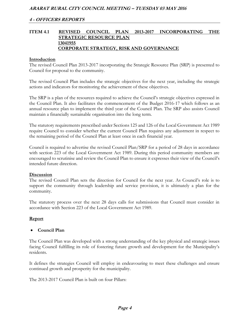## **ITEM 4.1 REVISED COUNCIL PLAN 2013-2017 INCORPORATING THE STRATEGIC RESOURCE PLAN 13041955 CORPORATE STRATEGY, RISK AND GOVERNANCE**

#### **Introduction**

The revised Council Plan 2013-2017 incorporating the Strategic Resource Plan (SRP) is presented to Council for proposal to the community.

The revised Council Plan includes the strategic objectives for the next year, including the strategic actions and indicators for monitoring the achievement of these objectives.

The SRP is a plan of the resources required to achieve the Council's strategic objectives expressed in the Council Plan. It also facilitates the commencement of the Budget 2016-17 which follows as an annual resource plan to implement the third year of the Council Plan. The SRP also assists Council maintain a financially sustainable organisation into the long term.

The statutory requirements prescribed under Sections 125 and 126 of the Local Government Act 1989 require Council to consider whether the current Council Plan requires any adjustment in respect to the remaining period of the Council Plan at least once in each financial year.

Council is required to advertise the revised Council Plan/SRP for a period of 28 days in accordance with section 223 of the Local Government Act 1989. During this period community members are encouraged to scrutinise and review the Council Plan to ensure it expresses their view of the Council's intended future direction.

#### **Discussion**

The revised Council Plan sets the direction for Council for the next year. As Council's role is to support the community through leadership and service provision, it is ultimately a plan for the community.

The statutory process over the next 28 days calls for submissions that Council must consider in accordance with Section 223 of the Local Government Act 1989.

#### **Report**

#### **Council Plan**

The Council Plan was developed with a strong understanding of the key physical and strategic issues facing Council fulfilling its role of fostering future growth and development for the Municipality's residents.

It defines the strategies Council will employ in endeavouring to meet these challenges and ensure continued growth and prosperity for the municipality.

The 2013-2017 Council Plan is built on four Pillars: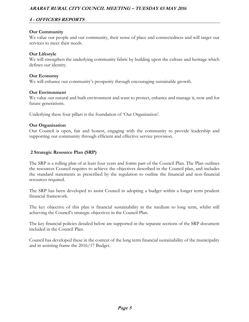# **4 - OFFICERS REPORTS**

#### **Our Community**

We value our people and our community, their sense of place and connectedness and will target our services to meet their needs.

#### **Our Lifestyle**

We will strengthen the underlying community fabric by building upon the culture and heritage which defines our identity.

#### **Our Economy**

We will enhance our community's prosperity through encouraging sustainable growth.

#### **Our Environment**

We value our natural and built environment and want to protect, enhance and manage it, now and for future generations.

Underlying these four pillars is the foundation of 'Our Organisation'.

#### **Our Organisation**

Our Council is open, fair and honest, engaging with the community to provide leadership and supporting our community through efficient and effective service provision.

# **2 Strategic Resource Plan (SRP)**

The SRP is a rolling plan of at least four years and forms part of the Council Plan. The Plan outlines the resources Council requires to achieve the objectives described in the Council plan, and includes the standard statements as prescribed by the regulation to outline the financial and non-financial resources required.

The SRP has been developed to assist Council in adopting a budget within a longer term prudent financial framework.

The key objective of this plan is financial sustainability in the medium to long term, whilst still achieving the Council's strategic objectives in the Council Plan.

The key financial policies detailed below are supported in the separate sections of the SRP document included in the Council Plan.

Council has developed these in the context of the long term financial sustainability of the municipality and in assisting frame the 2016/17 Budget.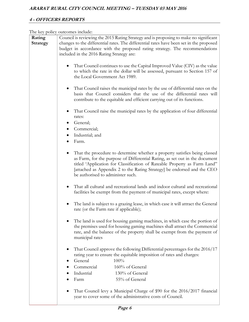# **4 - OFFICERS REPORTS**

The key policy outcomes include:

| Rating          | Council is reviewing the 2015 Rating Strategy and is proposing to make no significant                                                                                                                                                                                                                                                                  |
|-----------------|--------------------------------------------------------------------------------------------------------------------------------------------------------------------------------------------------------------------------------------------------------------------------------------------------------------------------------------------------------|
| <b>Strategy</b> | changes to the differential rates. The differential rates have been set in the proposed                                                                                                                                                                                                                                                                |
|                 | budget in accordance with the proposed rating strategy. The recommendations                                                                                                                                                                                                                                                                            |
|                 |                                                                                                                                                                                                                                                                                                                                                        |
|                 | included in the 2016 Rating Strategy are:                                                                                                                                                                                                                                                                                                              |
|                 | That Council continues to use the Capital Improved Value (CIV) as the value<br>to which the rate in the dollar will be assessed, pursuant to Section 157 of<br>the Local Government Act 1989.                                                                                                                                                          |
|                 | That Council raises the municipal rates by the use of differential rates on the<br>basis that Council considers that the use of the differential rates will<br>contribute to the equitable and efficient carrying out of its functions.                                                                                                                |
|                 | That Council raise the municipal rates by the application of four differential<br>rates:                                                                                                                                                                                                                                                               |
|                 | General;                                                                                                                                                                                                                                                                                                                                               |
|                 | Commercial;                                                                                                                                                                                                                                                                                                                                            |
|                 | Industrial; and                                                                                                                                                                                                                                                                                                                                        |
|                 | Farm.                                                                                                                                                                                                                                                                                                                                                  |
|                 |                                                                                                                                                                                                                                                                                                                                                        |
|                 | That the procedure to determine whether a property satisfies being classed<br>as Farm, for the purpose of Differential Rating, as set out in the document<br>titled 'Application for Classification of Rateable Property as Farm Land"<br>[attached as Appendix 2 to the Rating Strategy] be endorsed and the CEO<br>be authorised to administer such. |
|                 | That all cultural and recreational lands and indoor cultural and recreational<br>facilities be exempt from the payment of municipal rates, except where:                                                                                                                                                                                               |
|                 | The land is subject to a grazing lease, in which case it will attract the General<br>rate (or the Farm rate if applicable);                                                                                                                                                                                                                            |
|                 | The land is used for housing gaming machines, in which case the portion of<br>the premises used for housing gaming machines shall attract the Commercial<br>rate, and the balance of the property shall be exempt from the payment of<br>municipal rates                                                                                               |
|                 | That Council approve the following Differential percentages for the 2016/17<br>rating year to ensure the equitable imposition of rates and charges:                                                                                                                                                                                                    |
|                 | General<br>100%                                                                                                                                                                                                                                                                                                                                        |
|                 | Commercial<br>160% of General                                                                                                                                                                                                                                                                                                                          |
|                 | Industrial<br>130% of General                                                                                                                                                                                                                                                                                                                          |
|                 | 55% of General<br>Farm                                                                                                                                                                                                                                                                                                                                 |
|                 |                                                                                                                                                                                                                                                                                                                                                        |
|                 | That Council levy a Municipal Charge of \$90 for the 2016/2017 financial<br>year to cover some of the administrative costs of Council.                                                                                                                                                                                                                 |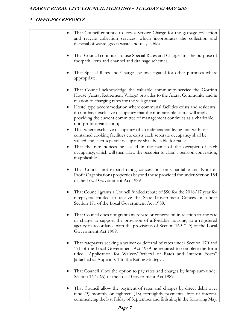# **4 - OFFICERS REPORTS**

| That Council continue to levy a Service Charge for the garbage collection<br>$\bullet$<br>and recycle collection services, which incorporates the collection and<br>disposal of waste, green waste and recyclables.                                                                                                                                                                                                                                  |
|------------------------------------------------------------------------------------------------------------------------------------------------------------------------------------------------------------------------------------------------------------------------------------------------------------------------------------------------------------------------------------------------------------------------------------------------------|
| That Council continues to use Special Rates and Charges for the purpose of<br>footpath, kerb and channel and drainage schemes.                                                                                                                                                                                                                                                                                                                       |
| That Special Rates and Charges be investigated for other purposes where<br>appropriate.                                                                                                                                                                                                                                                                                                                                                              |
| That Council acknowledge the valuable community service the Gorrinn<br>House (Ararat Retirement Village) provides to the Ararat Community and in<br>relation to charging rates for the village that:<br>Hostel type accommodation where communal facilities exists and residents<br>$\bullet$<br>do not have exclusive occupancy that the non rateable status will apply<br>providing the current committee of management continues as a charitable, |
| non-profit organisation;<br>That where exclusive occupancy of an independent living unit with self<br>contained cooking facilities etc exists each separate occupancy shall be<br>valued and each separate occupancy shall be liable for rates;<br>That the rate notices be issued in the name of the occupier of each<br>$\bullet$<br>occupancy, which will then allow the occupier to claim a pension concession,<br>if applicable                 |
| That Council not expand rating concessions on Charitable and Not-for-<br>$\bullet$<br>Profit Organisations properties beyond those provided for under Section 154<br>of the Local Government Act 1989                                                                                                                                                                                                                                                |
| That Council grants a Council funded rebate of \$90 for the 2016/17 year for<br>ratepayers entitled to receive the State Government Concession under<br>Section 171 of the Local Government Act 1989.                                                                                                                                                                                                                                                |
| That Council does not grant any rebate or concession in relation to any rate<br>or charge to support the provision of affordable housing, to a registered<br>agency in accordance with the provisions of Section 169 (1D) of the Local<br>Government Act 1989.                                                                                                                                                                                       |
| That ratepayers seeking a waiver or deferral of rates under Section 170 and<br>171 of the Local Government Act 1989 be required to complete the form<br>titled "Application for Waiver/Deferral of Rates and Interest Form"<br>[attached as Appendix 1 to the Rating Strategy].                                                                                                                                                                      |
| That Council allow the option to pay rates and charges by lump sum under<br>Section 167 (2A) of the Local Government Act 1989.                                                                                                                                                                                                                                                                                                                       |
| That Council allow the payment of rates and charges by direct debit over<br>nine (9) monthly or eighteen (18) fortnightly payments, free of interest,<br>commencing the last Friday of September and finishing in the following May.                                                                                                                                                                                                                 |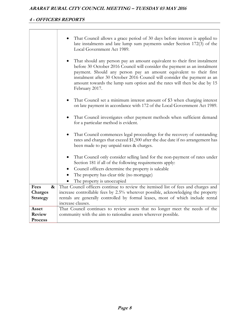## **4 - OFFICERS REPORTS**

|                                                  | That Council allows a grace period of 30 days before interest is applied to<br>late instalments and late lump sum payments under Section 172(3) of the<br>Local Government Act 1989.                                                                                                                                                                                                                  |
|--------------------------------------------------|-------------------------------------------------------------------------------------------------------------------------------------------------------------------------------------------------------------------------------------------------------------------------------------------------------------------------------------------------------------------------------------------------------|
|                                                  | That should any person pay an amount equivalent to their first instalment<br>before 30 October 2016 Council will consider the payment as an instalment<br>payment. Should any person pay an amount equivalent to their first<br>instalment after 30 October 2016 Council will consider the payment as an<br>amount towards the lump sum option and the rates will then be due by 15<br>February 2017. |
|                                                  | That Council set a minimum interest amount of \$3 when charging interest<br>on late payment in accordance with 172 of the Local Government Act 1989.                                                                                                                                                                                                                                                  |
|                                                  | That Council investigates other payment methods when sufficient demand<br>for a particular method is evident.                                                                                                                                                                                                                                                                                         |
|                                                  | That Council commences legal proceedings for the recovery of outstanding<br>$\bullet$<br>rates and charges that exceed \$1,500 after the due date if no arrangement has<br>been made to pay unpaid rates & charges.                                                                                                                                                                                   |
|                                                  | That Council only consider selling land for the non-payment of rates under<br>Section 181 if all of the following requirements apply:<br>Council officers determine the property is saleable<br>The property has clear title (no mortgage)                                                                                                                                                            |
|                                                  | The property is unoccupied                                                                                                                                                                                                                                                                                                                                                                            |
| Fees<br>$\boldsymbol{\&}$<br>Charges<br>Strategy | That Council officers continue to review the itemised list of fees and charges and<br>increase controllable fees by 2.5% wherever possible, acknowledging the property<br>rentals are generally controlled by formal leases, most of which include rental<br>increase clauses.                                                                                                                        |
| Asset<br>Review<br><b>Process</b>                | That Council continues to review assets that no longer meet the needs of the<br>community with the aim to rationalise assets wherever possible.                                                                                                                                                                                                                                                       |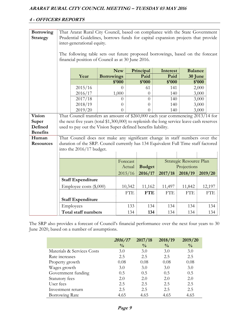# **4 - OFFICERS REPORTS**

| <b>Borrowing</b><br><b>Strategy</b> | That Ararat Rural City Council, based on compliance with the State Government<br>Prudential Guidelines, borrows funds for capital expansion projects that provide<br>inter-generational equity. |                                                                                           |  |            |                   |            |                         |            |
|-------------------------------------|-------------------------------------------------------------------------------------------------------------------------------------------------------------------------------------------------|-------------------------------------------------------------------------------------------|--|------------|-------------------|------------|-------------------------|------------|
|                                     | The following table sets out future proposed borrowings, based on the forecast<br>financial position of Council as at 30 June 2016.                                                             |                                                                                           |  |            |                   |            |                         |            |
|                                     | <b>New</b><br>Principal<br>Interest<br><b>Balance</b><br>Paid<br>Year<br><b>Borrowings</b><br>Paid<br>\$'000<br>\$'000<br>\$2000                                                                |                                                                                           |  |            | 30 June<br>\$2000 |            |                         |            |
|                                     |                                                                                                                                                                                                 | 2015/16                                                                                   |  | 0          | 61                | 141        |                         | 2,000      |
|                                     |                                                                                                                                                                                                 | 2016/17                                                                                   |  | 1,000      | 0                 | 140        |                         | 3,000      |
|                                     |                                                                                                                                                                                                 | 2017/18                                                                                   |  | $\Omega$   | $\Omega$          | 140        |                         | 3,000      |
|                                     |                                                                                                                                                                                                 | 2018/19                                                                                   |  | $\Omega$   | $\theta$          | 140        |                         | 3,000      |
|                                     |                                                                                                                                                                                                 | 2019/20<br>$\theta$<br>$\Omega$<br>140<br>3,000                                           |  |            |                   |            |                         |            |
| <b>Vision</b>                       | That Council transfers an amount of \$260,000 each year commencing 2013/14 for                                                                                                                  |                                                                                           |  |            |                   |            |                         |            |
| Super                               |                                                                                                                                                                                                 | the next five years (total \$1,300,000) to replenish the long service leave cash reserves |  |            |                   |            |                         |            |
| Defined                             |                                                                                                                                                                                                 | used to pay out the Vision Super defined benefits liability.                              |  |            |                   |            |                         |            |
| <b>Benefits</b>                     |                                                                                                                                                                                                 |                                                                                           |  |            |                   |            |                         |            |
| Human<br><b>Resources</b>           |                                                                                                                                                                                                 | That Council does not make any significant change in staff numbers over the               |  |            |                   |            |                         |            |
|                                     | duration of the SRP. Council currently has 134 Equivalent Full Time staff factored<br>into the 2016/17 budget.                                                                                  |                                                                                           |  |            |                   |            |                         |            |
|                                     |                                                                                                                                                                                                 |                                                                                           |  |            |                   |            |                         |            |
|                                     |                                                                                                                                                                                                 |                                                                                           |  | Forecast   |                   |            | Strategic Resource Plan |            |
|                                     |                                                                                                                                                                                                 | Projections<br>Actual<br><b>Budget</b>                                                    |  |            |                   |            |                         |            |
|                                     | 2016/17<br>2018/19<br>2015/16<br>2017/18<br>2019/20                                                                                                                                             |                                                                                           |  |            |                   |            |                         |            |
|                                     | <b>Staff Expenditure</b>                                                                                                                                                                        |                                                                                           |  |            |                   |            |                         |            |
|                                     |                                                                                                                                                                                                 | Employee costs (\$,000)                                                                   |  | 10,342     | 11,162            | 11,497     | 11,842                  | 12,197     |
|                                     |                                                                                                                                                                                                 |                                                                                           |  | <b>FTE</b> | <b>FTE</b>        | <b>FTE</b> | <b>FTE</b>              | <b>FTE</b> |
|                                     |                                                                                                                                                                                                 | <b>Staff Expenditure</b>                                                                  |  |            |                   |            |                         |            |
|                                     |                                                                                                                                                                                                 | Employees                                                                                 |  | 133        | 134               | 134        | 134                     | 134        |
|                                     |                                                                                                                                                                                                 | <b>Total staff numbers</b>                                                                |  | 134        | 134               | 134        | 134                     | 134        |

The SRP also provides a forecast of Council's financial performance over the next four years to 30 June 2020, based on a number of assumptions.

|                            | 2016/17       | 2017/18       | 2018/19       | 2019/20       |
|----------------------------|---------------|---------------|---------------|---------------|
|                            | $\frac{0}{0}$ | $\frac{0}{0}$ | $\frac{0}{0}$ | $\frac{0}{0}$ |
| Materials & Services Costs | 3.0           | 3.0           | 3.0           | 3.0           |
| Rate increases             | 2.5           | 2.5           | 2.5           | 2.5           |
| Property growth            | 0.08          | 0.08          | 0.08          | 0.08          |
| Wages growth               | 3.0           | 3.0           | 3.0           | 3.0           |
| Government funding         | 0.5           | 0.5           | 0.5           | 0.5           |
| Statutory fees             | 2.0           | 2.0           | 2.0           | 2.0           |
| User fees                  | 2.5           | 2.5           | 2.5           | 2.5           |
| Investment return          | 2.5           | 2.5           | 2.5           | 2.5           |
| Borrowing Rate             | 4.65          | 4.65          | 4.65          | 4.65          |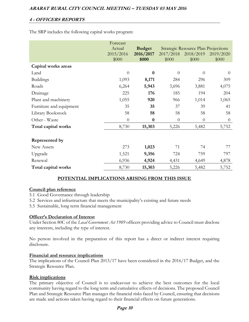The SRP includes the following capital works program:

|                         | Forecast                     |                                     |                    |                                                                  |                    |
|-------------------------|------------------------------|-------------------------------------|--------------------|------------------------------------------------------------------|--------------------|
|                         | Actual<br>2015/2016<br>\$000 | <b>Budget</b><br>2016/2017<br>\$000 | 2017/2018<br>\$000 | <b>Strategic Resource Plan Projections</b><br>2018/2019<br>\$000 | 2019/2020<br>\$000 |
| Capital works areas     |                              |                                     |                    |                                                                  |                    |
| Land                    | $\overline{0}$               | $\bf{0}$                            | $\theta$           | $\overline{0}$                                                   | $\theta$           |
| <b>Buildings</b>        | 1,093                        | 8,171                               | 284                | 296                                                              | 309                |
| Roads                   | 6,264                        | 5,943                               | 3,696              | 3,881                                                            | 4,075              |
| Drainage                | 225                          | 176                                 | 185                | 194                                                              | 204                |
| Plant and machinery     | 1,055                        | 920                                 | 966                | 1,014                                                            | 1,065              |
| Furniture and equipment | 35                           | 35                                  | 37                 | 39                                                               | 41                 |
| Library Bookstock       | 58                           | 58                                  | 58                 | 58                                                               | 58                 |
| Other - Waste           | $\overline{0}$               | $\boldsymbol{0}$                    | $\theta$           | $\overline{0}$                                                   | $\overline{0}$     |
| Total capital works     | 8,730                        | 15,303                              | 5,226              | 5,482                                                            | 5,752              |
| Represented by          |                              |                                     |                    |                                                                  |                    |
| New Assets              | 273                          | 1,023                               | 71                 | 74                                                               | 77                 |
| Upgrade                 | 1,521                        | 9,356                               | 724                | 759                                                              | 797                |
| Renewal                 | 6,936                        | 4,924                               | 4,431              | 4,649                                                            | 4,878              |
| Total capital works     | 8,730                        | 15,303                              | 5,226              | 5,482                                                            | 5,752              |

# **POTENTIAL IMPLICATIONS ARISING FROM THIS ISSUE**

#### **Council plan reference**

- 5.1 Good Governance through leadership
- 5.2 Services and infrastructure that meets the municipality's existing and future needs
- 5.5 Sustainable, long term financial management

# **Officer's Declaration of Interest**

Under Section 80C of the *Local Government Act 1989* officers providing advice to Council must disclose any interests, including the type of interest.

No person involved in the preparation of this report has a direct or indirect interest requiring disclosure.

#### **Financial and resource implications**

The implications of the Council Plan 2013/17 have been considered in the 2016/17 Budget, and the Strategic Resource Plan.

# **Risk implications**

The primary objective of Council is to endeavour to achieve the best outcomes for the local community having regard to the long term and cumulative effects of decisions. The proposed Council Plan and Strategic Resource Plan manages the financial risks faced by Council, ensuring that decisions are made and actions taken having regard to their financial effects on future generations.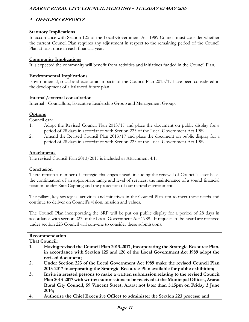# **4 - OFFICERS REPORTS**

#### **Statutory Implications**

In accordance with Section 125 of the Local Government Act 1989 Council must consider whether the current Council Plan requires any adjustment in respect to the remaining period of the Council Plan at least once in each financial year.

#### **Community Implications**

It is expected the community will benefit from activities and initiatives funded in the Council Plan.

#### **Environmental Implications**

Environmental, social and economic impacts of the Council Plan 2013/17 have been considered in the development of a balanced future plan

#### **Internal/external consultation**

Internal - Councillors, Executive Leadership Group and Management Group.

#### **Options**

Council can:

- 1. Adopt the Revised Council Plan 2013/17 and place the document on public display for a period of 28 days in accordance with Section 223 of the Local Government Act 1989.
- 2. Amend the Revised Council Plan 2013/17 and place the document on public display for a period of 28 days in accordance with Section 223 of the Local Government Act 1989.

#### **Attachments**

The revised Council Plan 2013/2017 is included as Attachment 4.1.

#### **Conclusion**

There remain a number of strategic challenges ahead, including the renewal of Council's asset base, the continuation of an appropriate range and level of services, the maintenance of a sound financial position under Rate Capping and the protection of our natural environment.

The pillars, key strategies, activities and initiatives in the Council Plan aim to meet these needs and continue to deliver on Council's vision, mission and values.

The Council Plan incorporating the SRP will be put on public display for a period of 28 days in accordance with section 223 of the Local Government Act 1989. If requests to be heard are received under section 223 Council will convene to consider these submissions.

## **Recommendation**

**That Council:**

- **1. Having revised the Council Plan 2013-2017, incorporating the Strategic Resource Plan, in accordance with Section 125 and 126 of the Local Government Act 1989 adopt the revised document;**
- **2. Under Section 223 of the Local Government Act 1989 make the revised Council Plan 2013-2017 incorporating the Strategic Resource Plan available for public exhibition;**
- **3. Invite interested persons to make a written submission relating to the revised Council Plan 2013-2017 with written submissions to be received at the Municipal Offices, Ararat Rural City Council, 59 Vincent Street, Ararat not later than 5.15pm on Friday 3 June 2016;**
- **4. Authorise the Chief Executive Officer to administer the Section 223 process; and**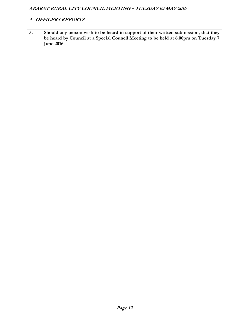| Should any person wish to be heard in support of their written submission, that they |
|--------------------------------------------------------------------------------------|
| be heard by Council at a Special Council Meeting to be held at 6.00pm on Tuesday 7   |
| <b>June 2016.</b>                                                                    |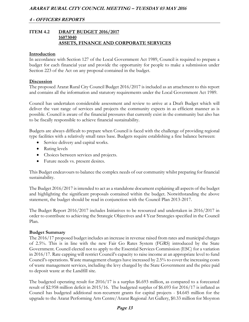#### **ITEM 4.2 DRAFT BUDGET 2016/2017 16073040 ASSETS, FINANCE AND CORPORATE SERVICES**

#### **Introduction**

In accordance with Section 127 of the Local Government Act 1989, Council is required to prepare a budget for each financial year and provide the opportunity for people to make a submission under Section 223 of the Act on any proposal contained in the budget.

#### **Discussion**

The proposed Ararat Rural City Council Budget 2016/2017 is included as an attachment to this report and contains all the information and statutory requirements under the Local Government Act 1989.

Council has undertaken considerable assessment and review to arrive at a Draft Budget which will deliver the vast range of services and projects the community expects in as efficient manner as is possible. Council is aware of the financial pressures that currently exist in the community but also has to be fiscally responsible to achieve financial sustainability.

Budgets are always difficult to prepare when Council is faced with the challenge of providing regional type facilities with a relatively small rates base. Budgets require establishing a fine balance between:

- Service delivery and capital works.
- Rating levels
- Choices between services and projects.
- Future needs vs. present desires.

This Budget endeavours to balance the complex needs of our community whilst preparing for financial sustainability.

The Budget 2016/2017 is intended to act as a standalone document explaining all aspects of the budget and highlighting the significant proposals contained within the budget. Notwithstanding the above statement, the budget should be read in conjunction with the Council Plan 2013-2017.

The Budget Report 2016/2017 includes Initiatives to be resourced and undertaken in 2016/2017 in order to contribute to achieving the Strategic Objectives and 4 Year Strategies specified in the Council Plan.

#### **Budget Summary**

The 2016/17 proposed budget includes an increase in revenue raised from rates and municipal charges of 2.5%. This is in line with the new Fair Go Rates System (FGRS) introduced by the State Government. Council elected not to apply to the Essential Services Commission (ESC) for a variation in 2016/17. Rate capping will restrict Council's capacity to raise income at an appropriate level to fund Council's operations. Waste management charges have increased by 2.5% to cover the increasing costs of waste management services, including the levy charged by the State Government and the price paid to deposit waste at the Landfill site.

The budgeted operating result for 2016/17 is a surplus \$6.693 million, as compared to a forecasted result of \$2.958 million deficit in 2015/16. The budgeted surplus of \$6.693 for 2016/17 is inflated as Council has budgeted additional non-recurrent grants for capital projects - \$4.645 million for the upgrade to the Ararat Performing Arts Centre/Ararat Regional Art Gallery, \$0.33 million for Moyston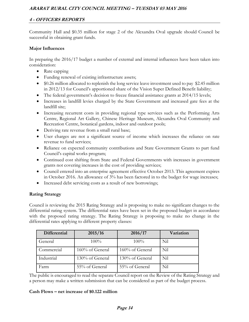Community Hall and \$0.35 million for stage 2 of the Alexandra Oval upgrade should Council be successful in obtaining grant funds.

#### **Major Influences**

In preparing the 2016/17 budget a number of external and internal influences have been taken into consideration:

- Rate capping
- Funding renewal of existing infrastructure assets;
- \$0.26 million allocated to replenish the long service leave investment used to pay \$2.45 million in 2012/13 for Council's apportioned share of the Vision Super Defined Benefit liability;
- The federal government's decision to freeze financial assistance grants at 2014/15 levels;
- Increases in landfill levies charged by the State Government and increased gate fees at the landfill site;
- Increasing recurrent costs in providing regional type services such as the Performing Arts Centre, Regional Art Gallery, Chinese Heritage Museum, Alexandra Oval Community and Recreation Centre, botanical gardens, indoor and outdoor pools;
- Deriving rate revenue from a small rural base;
- User charges are not a significant source of income which increases the reliance on rate revenue to fund services;
- Reliance on expected community contributions and State Government Grants to part fund Council's capital works program;
- Continued cost shifting from State and Federal Governments with increases in government grants not covering increases in the cost of providing services;
- Council entered into an enterprise agreement effective October 2013. This agreement expires in October 2016. An allowance of 3% has been factored in to the budget for wage increases;
- Increased debt servicing costs as a result of new borrowings;

# **Rating Strategy**

Council is reviewing the 2015 Rating Strategy and is proposing to make no significant changes to the differential rating system. The differential rates have been set in the proposed budget in accordance with the proposed rating strategy. The Rating Strategy is proposing to make no change in the differential rates applying to different property classes:

| Differential | 2015/16         | 2016/17         | Variation |
|--------------|-----------------|-----------------|-----------|
| General      | $100\%$         | 100%            | Nil       |
| Commercial   | 160% of General | 160% of General | Nil       |
| Industrial   | 130% of General | 130% of General | Nil       |
| Farm         | 55% of General  | 55% of General  | Nil       |

The public is encouraged to read the separate Council report on the Review of the Rating Strategy and a person may make a written submission that can be considered as part of the budget process.

#### **Cash Flows – net increase of \$0.122 million**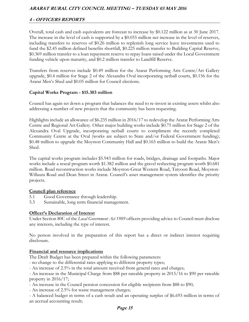Overall, total cash and cash equivalents are forecast to increase by \$0.122 million as at 30 June 2017. The increase in the level of cash is supported by a \$0.055 million net increase in the level of reserves, including transfers to reserves of \$0.26 million to replenish long service leave investments used to fund the \$2.45 million defined benefits shortfall, \$0.225 million transfer to Building Capital Reserve, \$0.369 million transfer to a loan repayment reserve to repay loans raised under the Local Government funding vehicle upon maturity, and \$0.2 million transfer to Landfill Reserve.

Transfers from reserves include \$0.49 million for the Ararat Performing Arts Centre/Art Gallery upgrade, \$0.4 million for Stage 2 of the Alexandra Oval incorporating netball courts, \$0.156 for the Ararat Men's Shed and \$0.05 million for Council elections.

#### **Capital Works Program - \$15.303 million**

Council has again set down a program that balances the need to re-invest in existing assets whilst also addressing a number of new projects that the community has been requesting.

Highlights include an allowance of \$6.235 million in 2016/17 to redevelop the Ararat Performing Arts Centre and Regional Art Gallery. Other major building works include \$0.75 million for Stage 2 of the Alexandra Oval Upgrade, incorporating netball courts to compliment the recently completed Community Centre at the Oval (works are subject to State and/or Federal Government funding); \$0.48 million to upgrade the Moyston Community Hall and \$0.165 million to build the Ararat Men's Shed.

The capital works program includes \$5.943 million for roads, bridges, drainage and footpaths. Major works include a reseal program worth \$1.382 million and the gravel resheeting program worth \$0.681 million. Road reconstruction works include Moyston-Great Western Road, Tatyoon Road, Moyston-Willaura Road and Dean Street in Ararat. Council's asset management system identifies the priority projects.

#### **Council plan reference**

- 5.1 Good Governance through leadership.
- 5.5 Sustainable, long term financial management.

# **Officer's Declaration of Interest**

Under Section 80C of the *Local Government Act 1989* officers providing advice to Council must disclose any interests, including the type of interest.

No person involved in the preparation of this report has a direct or indirect interest requiring disclosure.

#### **Financial and resource implications**

The Draft Budget has been prepared within the following parameters:

- no change to the differential rates applying to different property types;

- An increase of 2.5% in the total amount received from general rates and charges;

- An increase in the Municipal Charge from \$88 per rateable property in 2015/16 to \$90 per rateable property in 2016/17;

- An increase in the Council pension concession for eligible recipients from \$88 to \$90;

- An increase of 2.5% for waste management charges;

- A balanced budget in terms of a cash result and an operating surplus of \$6.693 million in terms of an accrual accounting result;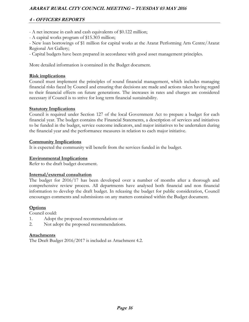# **4 - OFFICERS REPORTS**

- A net increase in cash and cash equivalents of \$0.122 million;
- A capital works program of \$15.303 million;

- New loan borrowings of \$1 million for capital works at the Ararat Performing Arts Centre/Ararat Regional Art Gallery;

- Capital budgets have been prepared in accordance with good asset management principles.

More detailed information is contained in the Budget document.

#### **Risk implications**

Council must implement the principles of sound financial management, which includes managing financial risks faced by Council and ensuring that decisions are made and actions taken having regard to their financial effects on future generations. The increases in rates and charges are considered necessary if Council is to strive for long term financial sustainability.

#### **Statutory Implications**

Council is required under Section 127 of the local Government Act to prepare a budget for each financial year. The budget contains the Financial Statements, a description of services and initiatives to be funded in the budget, service outcome indicators, and major initiatives to be undertaken during the financial year and the performance measures in relation to each major initiative.

#### **Community Implications**

It is expected the community will benefit from the services funded in the budget.

#### **Environmental Implications**

Refer to the draft budget document.

#### **Internal/external consultation**

The budget for 2016/17 has been developed over a number of months after a thorough and comprehensive review process. All departments have analysed both financial and non financial information to develop the draft budget. In releasing the budget for public consideration, Council encourages comments and submissions on any matters contained within the Budget document.

#### **Options**

Council could:

- 1. Adopt the proposed recommendations or
- 2. Not adopt the proposed recommendations.

#### **Attachments**

The Draft Budget 2016/2017 is included as Attachment 4.2.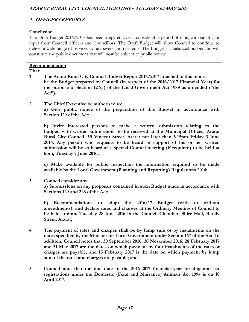#### **Conclusion**

The Draft Budget 2016/2017 has been prepared over a considerable period of time, with significant input from Council officers and Councillors. The Draft Budget will allow Council to continue to deliver a wide range of services to ratepayers and residents. The Budget is a balanced budget and will constitute the public document that will now be subject to public review.

|                         | Recommendation                                                                                                                                                                                                                                                                                                                                                                                                                                                                         |
|-------------------------|----------------------------------------------------------------------------------------------------------------------------------------------------------------------------------------------------------------------------------------------------------------------------------------------------------------------------------------------------------------------------------------------------------------------------------------------------------------------------------------|
| That:<br>$\mathbf{1}$   | The Ararat Rural City Council Budget Report 2016/2017 attached to this report<br>be the Budget prepared by Council (in respect of the 2016/2017 Financial Year) for<br>the purpose of Section 127(1) of the Local Government Act 1989 as amended ("the<br>$Act$ ").                                                                                                                                                                                                                    |
| $\boldsymbol{2}$        | The Chief Executive be authorised to:<br>a) Give public notice of the preparation of this Budget in accordance with<br>Section 129 of the Act;                                                                                                                                                                                                                                                                                                                                         |
|                         | b) Invite interested persons to make a written submission relating to the<br>budget, with written submissions to be received at the Municipal Offices, Ararat<br>Rural City Council, 59 Vincent Street, Ararat not later than 5.15pm Friday 3 June<br>2016. Any person who requests to be heard in support of his or her written<br>submission will be so heard at a Special Council meeting (if required) to be held at<br>6pm, Tuesday 7 June 2016;                                  |
|                         | c) Make available for public inspection the information required to be made<br>available by the Local Government (Planning and Reporting) Regulations 2014;                                                                                                                                                                                                                                                                                                                            |
| 3                       | Council consider any:<br>a) Submissions on any proposals contained in such Budget made in accordance with<br>Sections 129 and 223 of the Act;                                                                                                                                                                                                                                                                                                                                          |
|                         | b) Recommendations to adopt the 2016/17 Budget (with or without<br>amendments), and declare rates and charges at the Ordinary Meeting of Council to<br>be held at 6pm, Tuesday 28 June 2016 in the Council Chamber, Shire Hall, Barkly<br>Street, Ararat;                                                                                                                                                                                                                              |
| $\overline{\mathbf{4}}$ | The payment of rates and charges shall be by lump sum or by instalments on the<br>dates specified by the Minister for Local Government under Section 167 of the Act. In<br>addition, Council notes that 30 September 2016, 30 November 2016, 28 February 2017<br>and 31 May 2017 are the dates on which payment by four instalments of the rates or<br>charges are payable, and 15 February 2017 is the date on which payment by lump<br>sum of the rates and charges are payable; and |
| 5                       | Council note that the due date in the 2016-2017 financial year for dog and cat<br>registrations under the Domestic (Feral and Nuisance) Animals Act 1994 is on 10<br>April 2017.                                                                                                                                                                                                                                                                                                       |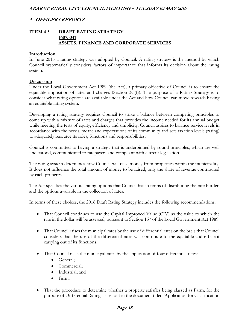#### **ITEM 4.3 DRAFT RATING STRATEGY 16073041 ASSETS, FINANCE AND CORPORATE SERVICES**

#### **Introduction**

In June 2015 a rating strategy was adopted by Council. A rating strategy is the method by which Council systematically considers factors of importance that informs its decision about the rating system.

#### **Discussion**

Under the Local Government Act 1989 (the Act), a primary objective of Council is to ensure the equitable imposition of rates and charges (Section  $3C(f)$ ). The purpose of a Rating Strategy is to consider what rating options are available under the Act and how Council can move towards having an equitable rating system.

Developing a rating strategy requires Council to strike a balance between competing principles to come up with a mixture of rates and charges that provides the income needed for its annual budget while meeting the tests of equity, efficiency and simplicity. Council aspires to balance service levels in accordance with the needs, means and expectations of its community and sets taxation levels (rating) to adequately resource its roles, functions and responsibilities.

Council is committed to having a strategy that is underpinned by sound principles, which are well understood, communicated to ratepayers and compliant with current legislation.

The rating system determines how Council will raise money from properties within the municipality. It does not influence the total amount of money to be raised, only the share of revenue contributed by each property.

The Act specifies the various rating options that Council has in terms of distributing the rate burden and the options available in the collection of rates.

In terms of these choices, the 2016 Draft Rating Strategy includes the following recommendations:

- That Council continues to use the Capital Improved Value (CIV) as the value to which the rate in the dollar will be assessed, pursuant to Section 157 of the Local Government Act 1989.
- That Council raises the municipal rates by the use of differential rates on the basis that Council considers that the use of the differential rates will contribute to the equitable and efficient carrying out of its functions.
- That Council raise the municipal rates by the application of four differential rates:
	- General;
	- Commercial;
	- Industrial; and
	- Farm.
- That the procedure to determine whether a property satisfies being classed as Farm, for the purpose of Differential Rating, as set out in the document titled 'Application for Classification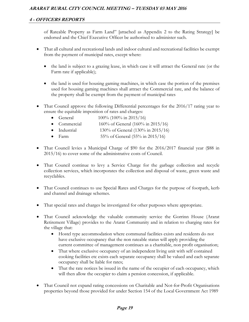of Rateable Property as Farm Land" [attached as Appendix 2 to the Rating Strategy] be endorsed and the Chief Executive Officer be authorised to administer such.

- That all cultural and recreational lands and indoor cultural and recreational facilities be exempt from the payment of municipal rates, except where:
	- the land is subject to a grazing lease, in which case it will attract the General rate (or the Farm rate if applicable);
	- the land is used for housing gaming machines, in which case the portion of the premises used for housing gaming machines shall attract the Commercial rate, and the balance of the property shall be exempt from the payment of municipal rates
- That Council approve the following Differential percentages for the 2016/17 rating year to ensure the equitable imposition of rates and charges:
	- General  $100\% (100\% \text{ in } 2015/16)$
	- Commercial  $160\%$  of General  $(160\% \text{ in } 2015/16)$
	- Industrial  $130\%$  of General (130% in 2015/16)
	- Farm  $55\%$  of General  $(55\%$  in  $2015/16)$
- That Council levies a Municipal Charge of \$90 for the 2016/2017 financial year (\$88 in 2015/16) to cover some of the administrative costs of Council.
- That Council continue to levy a Service Charge for the garbage collection and recycle collection services, which incorporates the collection and disposal of waste, green waste and recyclables.
- That Council continues to use Special Rates and Charges for the purpose of footpath, kerb and channel and drainage schemes.
- That special rates and charges be investigated for other purposes where appropriate.
- That Council acknowledge the valuable community service the Gorrinn House (Ararat Retirement Village) provides to the Ararat Community and in relation to charging rates for the village that:
	- Hostel type accommodation where communal facilities exists and residents do not have exclusive occupancy that the non rateable status will apply providing the current committee of management continues as a charitable, non profit organisation;
	- That where exclusive occupancy of an independent living unit with self contained cooking facilities etc exists each separate occupancy shall be valued and each separate occupancy shall be liable for rates;
	- That the rate notices be issued in the name of the occupier of each occupancy, which will then allow the occupier to claim a pension concession, if applicable.
- That Council not expand rating concessions on Charitable and Not-for-Profit Organisations properties beyond those provided for under Section 154 of the Local Government Act 1989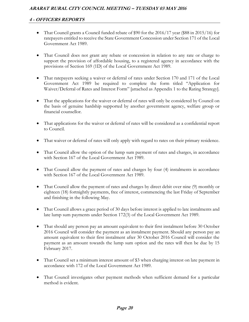- That Council grants a Council funded rebate of \$90 for the 2016/17 year (\$88 in 2015/16) for ratepayers entitled to receive the State Government Concession under Section 171 of the Local Government Act 1989.
- That Council does not grant any rebate or concession in relation to any rate or charge to support the provision of affordable housing, to a registered agency in accordance with the provisions of Section 169 (1D) of the Local Government Act 1989.
- That ratepayers seeking a waiver or deferral of rates under Section 170 and 171 of the Local Government Act 1989 be required to complete the form titled "Application for Waiver/Deferral of Rates and Interest Form" [attached as Appendix 1 to the Rating Strategy].
- That the applications for the waiver or deferral of rates will only be considered by Council on the basis of genuine hardship supported by another government agency, welfare group or financial counsellor.
- That applications for the waiver or deferral of rates will be considered as a confidential report to Council.
- That waiver or deferral of rates will only apply with regard to rates on their primary residence.
- That Council allow the option of the lump sum payment of rates and charges, in accordance with Section 167 of the Local Government Act 1989.
- That Council allow the payment of rates and charges by four (4) instalments in accordance with Section 167 of the Local Government Act 1989.
- That Council allow the payment of rates and charges by direct debit over nine (9) monthly or eighteen (18) fortnightly payments, free of interest, commencing the last Friday of September and finishing in the following May.
- That Council allows a grace period of 30 days before interest is applied to late instalments and late lump sum payments under Section 172(3) of the Local Government Act 1989.
- That should any person pay an amount equivalent to their first instalment before 30 October 2016 Council will consider the payment as an instalment payment. Should any person pay an amount equivalent to their first instalment after 30 October 2016 Council will consider the payment as an amount towards the lump sum option and the rates will then be due by 15 February 2017.
- That Council set a minimum interest amount of \$3 when charging interest on late payment in accordance with 172 of the Local Government Act 1989.
- That Council investigates other payment methods when sufficient demand for a particular method is evident.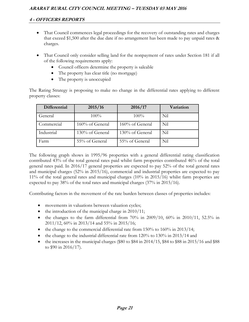- That Council commences legal proceedings for the recovery of outstanding rates and charges that exceed \$1,500 after the due date if no arrangement has been made to pay unpaid rates & charges.
- That Council only consider selling land for the nonpayment of rates under Section 181 if all of the following requirements apply:
	- Council officers determine the property is saleable
	- The property has clear title (no mortgage)
	- The property is unoccupied

The Rating Strategy is proposing to make no change in the differential rates applying to different property classes:

| Differential | 2015/16         | 2016/17         | Variation |
|--------------|-----------------|-----------------|-----------|
| General      | 100%            | 100%            | Nil       |
| Commercial   | 160% of General | 160% of General | Nil       |
| Industrial   | 130% of General | 130% of General | Nil       |
| Farm         | 55% of General  | 55% of General  | Nil       |

The following graph shows in 1995/96 properties with a general differential rating classification contributed 43% of the total general rates paid whilst farm properties contributed 46% of the total general rates paid. In 2016/17 general properties are expected to pay 52% of the total general rates and municipal charges (52% in 2015/16), commercial and industrial properties are expected to pay 11% of the total general rates and municipal charges (10% in 2015/16) whilst farm properties are expected to pay 38% of the total rates and municipal charges (37% in 2015/16).

Contributing factors in the movement of the rate burden between classes of properties includes:

- movements in valuations between valuation cycles;
- $\bullet$  the introduction of the municipal charge in 2010/11;
- the changes to the farm differential from  $70\%$  in  $2009/10$ ,  $60\%$  in  $2010/11$ ,  $52.5\%$  in 2011/12, 60% in 2013/14 and 55% in 2015/16;
- the change to the commercial differential rate from  $150\%$  to  $160\%$  in  $2013/14$ ;
- the change to the industrial differential rate from 120% to 130% in 2013/14 and
- $\bullet$  the increases in the municipal charges (\$80 to \$84 in 2014/15, \$84 to \$88 in 2015/16 and \$88 to \$90 in 2016/17).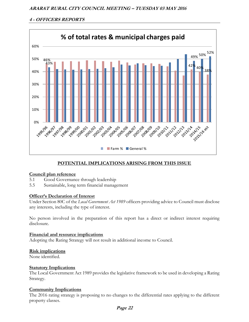

# **POTENTIAL IMPLICATIONS ARISING FROM THIS ISSUE**

#### **Council plan reference**

- 5.1 Good Governance through leadership
- 5.5 Sustainable, long term financial management

#### **Officer's Declaration of Interest**

Under Section 80C of the *Local Government Act 1989* officers providing advice to Council must disclose any interests, including the type of interest.

No person involved in the preparation of this report has a direct or indirect interest requiring disclosure.

#### **Financial and resource implications**

Adopting the Rating Strategy will not result in additional income to Council.

#### **Risk implications**

None identified.

#### **Statutory Implications**

The Local Government Act 1989 provides the legislative framework to be used in developing a Rating Strategy.

#### **Community Implications**

The 2016 rating strategy is proposing to no changes to the differential rates applying to the different property classes.